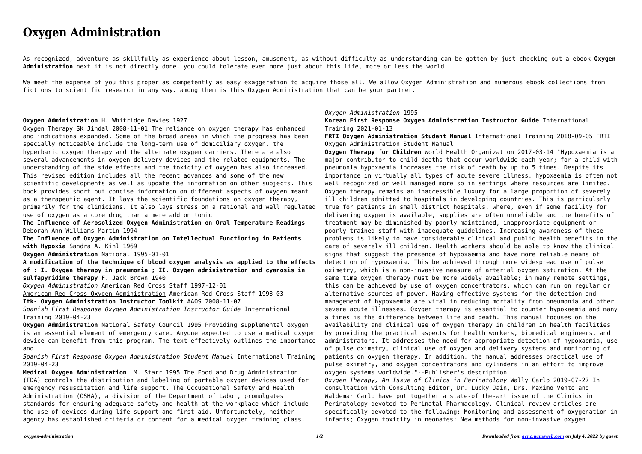# **Oxygen Administration**

As recognized, adventure as skillfully as experience about lesson, amusement, as without difficulty as understanding can be gotten by just checking out a ebook **Oxygen Administration** next it is not directly done, you could tolerate even more just about this life, more or less the world.

We meet the expense of you this proper as competently as easy exaggeration to acquire those all. We allow Oxygen Administration and numerous ebook collections from fictions to scientific research in any way. among them is this Oxygen Administration that can be your partner.

## **Oxygen Administration** H. Whitridge Davies 1927

Oxygen Therapy SK Jindal 2008-11-01 The reliance on oxygen therapy has enhanced and indications expanded. Some of the broad areas in which the progress has been specially noticeable include the long-term use of domiciliary oxygen, the hyperbaric oxygen therapy and the alternate oxygen carriers. There are also several advancements in oxygen delivery devices and the related equipments. The understanding of the side effects and the toxicity of oxygen has also increased. This revised edition includes all the recent advances and some of the new scientific developments as well as update the information on other subjects. This book provides short but concise information on different aspects of oxygen meant as a therapeutic agent. It lays the scientific foundations on oxygen therapy, primarily for the clinicians. It also lays stress on a rational and well regulated use of oxygen as a core drug than a mere add on tonic.

**The Influence of Aerosolized Oxygen Administration on Oral Temperature Readings** Deborah Ann Williams Martin 1994

**The Influence of Oxygen Administration on Intellectual Functioning in Patients with Hypoxia** Sandra A. Kihl 1969

**Oxygen Administration** National 1995-01-01

**A modification of the technique of blood oxygen analysis as applied to the effects of : I. Oxygen therapy in pneumonia ; II. Oxygen administration and cyanosis in sulfapyridine therapy** F. Jack Brown 1940

*Oxygen Administration* American Red Cross Staff 1997-12-01

American Red Cross Oxygen Administration American Red Cross Staff 1993-03 **Itk- Oxygen Administration Instructor Toolkit** AAOS 2008-11-07

*Spanish First Response Oxygen Administration Instructor Guide* International

Training 2019-04-23

**Oxygen Administration** National Safety Council 1995 Providing supplemental oxygen is an essential element of emergency care. Anyone expected to use a medical oxygen device can benefit from this program. The text effectively outlines the importance and

*Spanish First Response Oxygen Administration Student Manual* International Training 2019-04-23

**Medical Oxygen Administration** LM. Starr 1995 The Food and Drug Administration (FDA) controls the distribution and labeling of portable oxygen devices used for emergency resuscitation and life support. The Occupational Safety and Health Administration (OSHA), a division of the Department of Labor, promulgates standards for ensuring adequate safety and health at the workplace which include the use of devices during life support and first aid. Unfortunately, neither agency has established criteria or content for a medical oxygen training class.

### *Oxygen Administration* 1995

**Korean First Response Oxygen Administration Instructor Guide** International Training 2021-01-13

**FRTI Oxygen Administration Student Manual** International Training 2018-09-05 FRTI Oxygen Administration Student Manual

**Oxygen Therapy for Children** World Health Organization 2017-03-14 "Hypoxaemia is a major contributor to child deaths that occur worldwide each year; for a child with pneumonia hypoxaemia increases the risk of death by up to 5 times. Despite its importance in virtually all types of acute severe illness, hypoxaemia is often not well recognized or well managed more so in settings where resources are limited. Oxygen therapy remains an inaccessible luxury for a large proportion of severely ill children admitted to hospitals in developing countries. This is particularly true for patients in small district hospitals, where, even if some facility for delivering oxygen is available, supplies are often unreliable and the benefits of treatment may be diminished by poorly maintained, inappropriate equipment or poorly trained staff with inadequate guidelines. Increasing awareness of these problems is likely to have considerable clinical and public health benefits in the care of severely ill children. Health workers should be able to know the clinical signs that suggest the presence of hypoxaemia and have more reliable means of detection of hypoxaemia. This be achieved through more widespread use of pulse oximetry, which is a non-invasive measure of arterial oxygen saturation. At the same time oxygen therapy must be more widely available; in many remote settings, this can be achieved by use of oxygen concentrators, which can run on regular or alternative sources of power. Having effective systems for the detection and management of hypoxaemia are vital in reducing mortality from pneumonia and other severe acute illnesses. Oxygen therapy is essential to counter hypoxaemia and many a times is the difference between life and death. This manual focuses on the availability and clinical use of oxygen therapy in children in health facilities by providing the practical aspects for health workers, biomedical engineers, and administrators. It addresses the need for appropriate detection of hypoxaemia, use of pulse oximetry, clinical use of oxygen and delivery systems and monitoring of patients on oxygen therapy. In addition, the manual addresses practical use of pulse oximetry, and oxygen concentrators and cylinders in an effort to improve oxygen systems worldwide."--Publisher's description *Oxygen Therapy, An Issue of Clinics in Perinatology* Wally Carlo 2019-07-27 In consultation with Consulting Editor, Dr. Lucky Jain, Drs. Maximo Vento and Waldemar Carlo have put together a state-of the-art issue of the Clinics in Perinatology devoted to Perinatal Pharmacology. Clinical review articles are specifically devoted to the following: Monitoring and assessment of oxygenation in infants; Oxygen toxicity in neonates; New methods for non-invasive oxygen